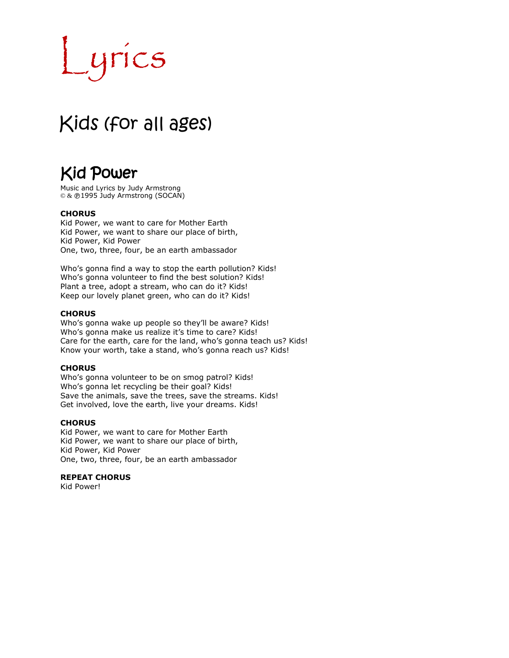# ICS

# Kids (for all ages)

# Kid Power

Music and Lyrics by Judy Armstrong © & @1995 Judy Armstrong (SOCAN)

#### **CHORUS**

Kid Power, we want to care for Mother Earth Kid Power, we want to share our place of birth, Kid Power, Kid Power One, two, three, four, be an earth ambassador

Who's gonna find a way to stop the earth pollution? Kids! Who's gonna volunteer to find the best solution? Kids! Plant a tree, adopt a stream, who can do it? Kids! Keep our lovely planet green, who can do it? Kids!

#### **CHORUS**

Who's gonna wake up people so they'll be aware? Kids! Who's gonna make us realize it's time to care? Kids! Care for the earth, care for the land, who's gonna teach us? Kids! Know your worth, take a stand, who's gonna reach us? Kids!

#### **CHORUS**

Who's gonna volunteer to be on smog patrol? Kids! Who's gonna let recycling be their goal? Kids! Save the animals, save the trees, save the streams. Kids! Get involved, love the earth, live your dreams. Kids!

#### **CHORUS**

Kid Power, we want to care for Mother Earth Kid Power, we want to share our place of birth, Kid Power, Kid Power One, two, three, four, be an earth ambassador

#### **REPEAT CHORUS**

Kid Power!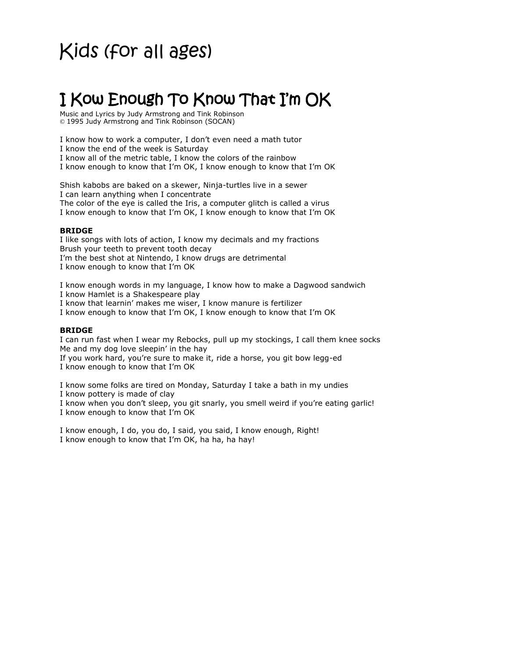# I Kow Enough To Know That I'm OK

Music and Lyrics by Judy Armstrong and Tink Robinson © 1995 Judy Armstrong and Tink Robinson (SOCAN)

I know how to work a computer, I don't even need a math tutor

I know the end of the week is Saturday

I know all of the metric table, I know the colors of the rainbow

I know enough to know that I'm OK, I know enough to know that I'm OK

Shish kabobs are baked on a skewer, Ninja-turtles live in a sewer I can learn anything when I concentrate The color of the eye is called the Iris, a computer glitch is called a virus I know enough to know that I'm OK, I know enough to know that I'm OK

#### **BRIDGE**

I like songs with lots of action, I know my decimals and my fractions Brush your teeth to prevent tooth decay I'm the best shot at Nintendo, I know drugs are detrimental I know enough to know that I'm OK

I know enough words in my language, I know how to make a Dagwood sandwich

I know Hamlet is a Shakespeare play

I know that learnin' makes me wiser, I know manure is fertilizer

I know enough to know that I'm OK, I know enough to know that I'm OK

#### **BRIDGE**

I can run fast when I wear my Rebocks, pull up my stockings, I call them knee socks Me and my dog love sleepin' in the hay

If you work hard, you're sure to make it, ride a horse, you git bow legg-ed I know enough to know that I'm OK

I know some folks are tired on Monday, Saturday I take a bath in my undies I know pottery is made of clay

I know when you don't sleep, you git snarly, you smell weird if you're eating garlic! I know enough to know that I'm OK

I know enough, I do, you do, I said, you said, I know enough, Right! I know enough to know that I'm OK, ha ha, ha hay!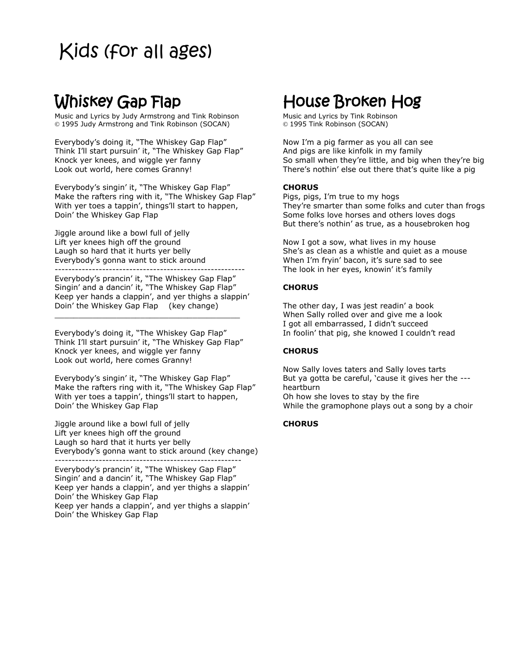### Whiskey Gap Flap

Music and Lyrics by Judy Armstrong and Tink Robinson © 1995 Judy Armstrong and Tink Robinson (SOCAN)

Everybody's doing it, "The Whiskey Gap Flap" Think I'll start pursuin' it, "The Whiskey Gap Flap" Knock yer knees, and wiggle yer fanny Look out world, here comes Granny!

Everybody's singin' it, "The Whiskey Gap Flap" Make the rafters ring with it, "The Whiskey Gap Flap" With yer toes a tappin', things'll start to happen, Doin' the Whiskey Gap Flap

Jiggle around like a bowl full of jelly Lift yer knees high off the ground Laugh so hard that it hurts yer belly Everybody's gonna want to stick around --------------------------------------------------------

Everybody's prancin' it, "The Whiskey Gap Flap" Singin' and a dancin' it, "The Whiskey Gap Flap" Keep yer hands a clappin', and yer thighs a slappin' Doin' the Whiskey Gap Flap (key change)

Everybody's doing it, "The Whiskey Gap Flap" Think I'll start pursuin' it, "The Whiskey Gap Flap" Knock yer knees, and wiggle yer fanny Look out world, here comes Granny!

\_\_\_\_\_\_\_\_\_\_\_\_\_\_\_\_\_\_\_\_\_\_\_\_\_\_\_\_\_\_\_\_\_\_\_\_\_\_\_

Everybody's singin' it, "The Whiskey Gap Flap" Make the rafters ring with it, "The Whiskey Gap Flap" With yer toes a tappin', things'll start to happen, Doin' the Whiskey Gap Flap

Jiggle around like a bowl full of jelly Lift yer knees high off the ground Laugh so hard that it hurts yer belly Everybody's gonna want to stick around (key change) -------------------------------------------------------

Everybody's prancin' it, "The Whiskey Gap Flap" Singin' and a dancin' it, "The Whiskey Gap Flap" Keep yer hands a clappin', and yer thighs a slappin' Doin' the Whiskey Gap Flap Keep yer hands a clappin', and yer thighs a slappin' Doin' the Whiskey Gap Flap

# House Broken Hog

Music and Lyrics by Tink Robinson © 1995 Tink Robinson (SOCAN)

Now I'm a pig farmer as you all can see And pigs are like kinfolk in my family So small when they're little, and big when they're big There's nothin' else out there that's quite like a pig

#### **CHORUS**

Pigs, pigs, I'm true to my hogs They're smarter than some folks and cuter than frogs Some folks love horses and others loves dogs But there's nothin' as true, as a housebroken hog

Now I got a sow, what lives in my house She's as clean as a whistle and quiet as a mouse When I'm fryin' bacon, it's sure sad to see The look in her eyes, knowin' it's family

#### **CHORUS**

The other day, I was jest readin' a book When Sally rolled over and give me a look I got all embarrassed, I didn't succeed In foolin' that pig, she knowed I couldn't read

#### **CHORUS**

Now Sally loves taters and Sally loves tarts But ya gotta be careful, 'cause it gives her the -- heartburn

Oh how she loves to stay by the fire While the gramophone plays out a song by a choir

#### **CHORUS**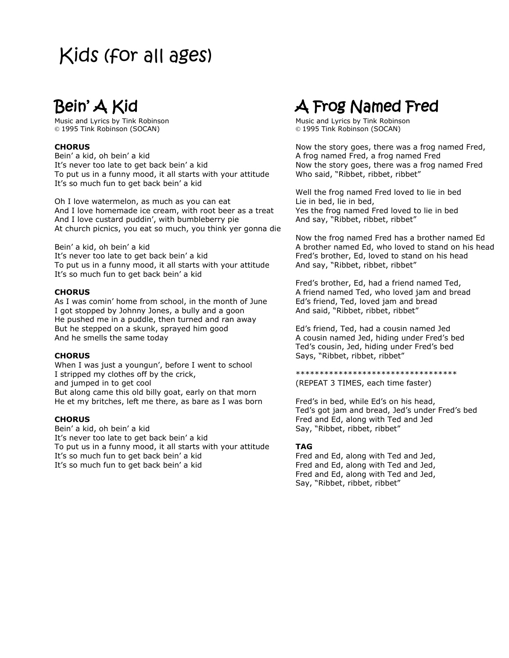# Bein' A Kid

Music and Lyrics by Tink Robinson © 1995 Tink Robinson (SOCAN)

#### **CHORUS**

Bein' a kid, oh bein' a kid It's never too late to get back bein' a kid To put us in a funny mood, it all starts with your attitude It's so much fun to get back bein' a kid

Oh I love watermelon, as much as you can eat And I love homemade ice cream, with root beer as a treat And I love custard puddin', with bumbleberry pie At church picnics, you eat so much, you think yer gonna die

Bein' a kid, oh bein' a kid It's never too late to get back bein' a kid To put us in a funny mood, it all starts with your attitude It's so much fun to get back bein' a kid

#### **CHORUS**

As I was comin' home from school, in the month of June I got stopped by Johnny Jones, a bully and a goon He pushed me in a puddle, then turned and ran away But he stepped on a skunk, sprayed him good And he smells the same today

#### **CHORUS**

When I was just a youngun', before I went to school I stripped my clothes off by the crick, and jumped in to get cool But along came this old billy goat, early on that morn He et my britches, left me there, as bare as I was born

#### **CHORUS**

Bein' a kid, oh bein' a kid It's never too late to get back bein' a kid To put us in a funny mood, it all starts with your attitude It's so much fun to get back bein' a kid It's so much fun to get back bein' a kid

### A Frog Named Fred

Music and Lyrics by Tink Robinson © 1995 Tink Robinson (SOCAN)

Now the story goes, there was a frog named Fred, A frog named Fred, a frog named Fred Now the story goes, there was a frog named Fred Who said, "Ribbet, ribbet, ribbet"

Well the frog named Fred loved to lie in bed Lie in bed, lie in bed, Yes the frog named Fred loved to lie in bed And say, "Ribbet, ribbet, ribbet"

Now the frog named Fred has a brother named Ed A brother named Ed, who loved to stand on his head Fred's brother, Ed, loved to stand on his head And say, "Ribbet, ribbet, ribbet"

Fred's brother, Ed, had a friend named Ted, A friend named Ted, who loved jam and bread Ed's friend, Ted, loved jam and bread And said, "Ribbet, ribbet, ribbet"

Ed's friend, Ted, had a cousin named Jed A cousin named Jed, hiding under Fred's bed Ted's cousin, Jed, hiding under Fred's bed Says, "Ribbet, ribbet, ribbet"

\*\*\*\*\*\*\*\*\*\*\*\*\*\*\*\*\*\*\*\*\*\*\*\*\*\*\*\*\*\*\*\*\*\* (REPEAT 3 TIMES, each time faster)

Fred's in bed, while Ed's on his head, Ted's got jam and bread, Jed's under Fred's bed Fred and Ed, along with Ted and Jed Say, "Ribbet, ribbet, ribbet"

#### **TAG**

Fred and Ed, along with Ted and Jed, Fred and Ed, along with Ted and Jed, Fred and Ed, along with Ted and Jed, Say, "Ribbet, ribbet, ribbet"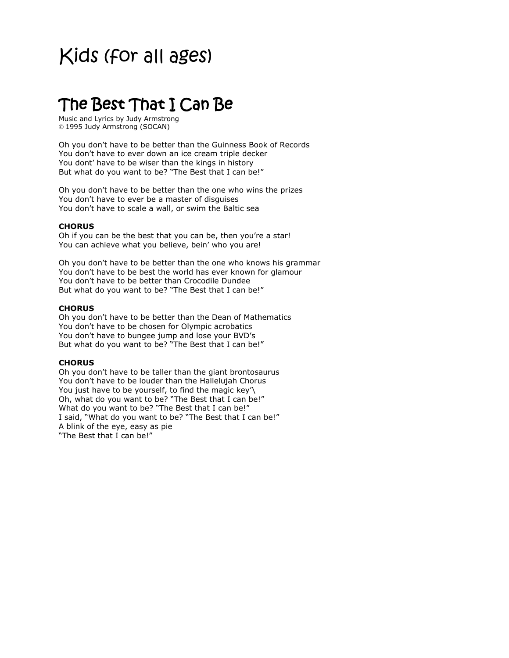### The Best That I Can Be

Music and Lyrics by Judy Armstrong © 1995 Judy Armstrong (SOCAN)

Oh you don't have to be better than the Guinness Book of Records You don't have to ever down an ice cream triple decker You dont' have to be wiser than the kings in history But what do you want to be? "The Best that I can be!"

Oh you don't have to be better than the one who wins the prizes You don't have to ever be a master of disguises You don't have to scale a wall, or swim the Baltic sea

#### **CHORUS**

Oh if you can be the best that you can be, then you're a star! You can achieve what you believe, bein' who you are!

Oh you don't have to be better than the one who knows his grammar You don't have to be best the world has ever known for glamour You don't have to be better than Crocodile Dundee But what do you want to be? "The Best that I can be!"

#### **CHORUS**

Oh you don't have to be better than the Dean of Mathematics You don't have to be chosen for Olympic acrobatics You don't have to bungee jump and lose your BVD's But what do you want to be? "The Best that I can be!"

#### **CHORUS**

Oh you don't have to be taller than the giant brontosaurus You don't have to be louder than the Hallelujah Chorus You just have to be yourself, to find the magic key'\ Oh, what do you want to be? "The Best that I can be!" What do you want to be? "The Best that I can be!" I said, "What do you want to be? "The Best that I can be!" A blink of the eye, easy as pie "The Best that I can be!"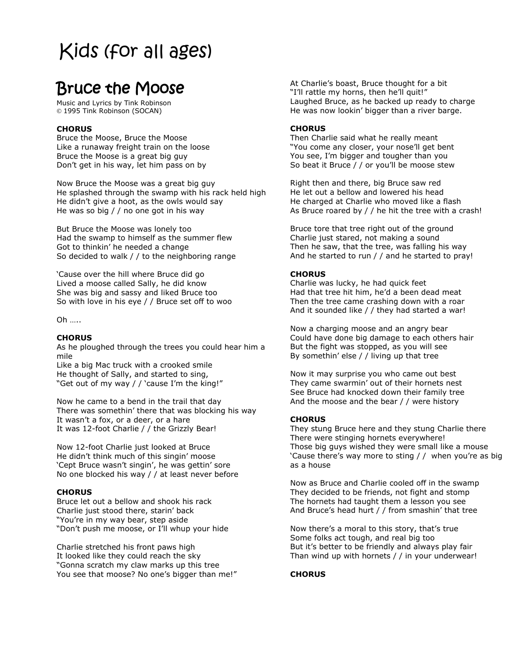### Bruce the Moose

Music and Lyrics by Tink Robinson © 1995 Tink Robinson (SOCAN)

#### **CHORUS**

Bruce the Moose, Bruce the Moose Like a runaway freight train on the loose Bruce the Moose is a great big guy Don't get in his way, let him pass on by

Now Bruce the Moose was a great big guy He splashed through the swamp with his rack held high He didn't give a hoot, as the owls would say He was so big / / no one got in his way

But Bruce the Moose was lonely too Had the swamp to himself as the summer flew Got to thinkin' he needed a change So decided to walk / / to the neighboring range

'Cause over the hill where Bruce did go Lived a moose called Sally, he did know She was big and sassy and liked Bruce too So with love in his eye / / Bruce set off to woo

Oh …..

#### **CHORUS**

As he ploughed through the trees you could hear him a mile

Like a big Mac truck with a crooked smile He thought of Sally, and started to sing, "Get out of my way / / 'cause I'm the king!"

Now he came to a bend in the trail that day There was somethin' there that was blocking his way It wasn't a fox, or a deer, or a hare It was 12-foot Charlie / / the Grizzly Bear!

Now 12-foot Charlie just looked at Bruce He didn't think much of this singin' moose 'Cept Bruce wasn't singin', he was gettin' sore No one blocked his way / / at least never before

#### **CHORUS**

Bruce let out a bellow and shook his rack Charlie just stood there, starin' back "You're in my way bear, step aside "Don't push me moose, or I'll whup your hide

Charlie stretched his front paws high It looked like they could reach the sky "Gonna scratch my claw marks up this tree You see that moose? No one's bigger than me!" At Charlie's boast, Bruce thought for a bit "I'll rattle my horns, then he'll quit!" Laughed Bruce, as he backed up ready to charge He was now lookin' bigger than a river barge.

#### **CHORUS**

Then Charlie said what he really meant "You come any closer, your nose'll get bent You see, I'm bigger and tougher than you So beat it Bruce / / or you'll be moose stew

Right then and there, big Bruce saw red He let out a bellow and lowered his head He charged at Charlie who moved like a flash As Bruce roared by / / he hit the tree with a crash!

Bruce tore that tree right out of the ground Charlie just stared, not making a sound Then he saw, that the tree, was falling his way And he started to run / / and he started to pray!

#### **CHORUS**

Charlie was lucky, he had quick feet Had that tree hit him, he'd a been dead meat Then the tree came crashing down with a roar And it sounded like / / they had started a war!

Now a charging moose and an angry bear Could have done big damage to each others hair But the fight was stopped, as you will see By somethin' else / / living up that tree

Now it may surprise you who came out best They came swarmin' out of their hornets nest See Bruce had knocked down their family tree And the moose and the bear / / were history

#### **CHORUS**

They stung Bruce here and they stung Charlie there There were stinging hornets everywhere! Those big guys wished they were small like a mouse 'Cause there's way more to sting / / when you're as big as a house

Now as Bruce and Charlie cooled off in the swamp They decided to be friends, not fight and stomp The hornets had taught them a lesson you see And Bruce's head hurt / / from smashin' that tree

Now there's a moral to this story, that's true Some folks act tough, and real big too But it's better to be friendly and always play fair Than wind up with hornets / / in your underwear!

#### **CHORUS**